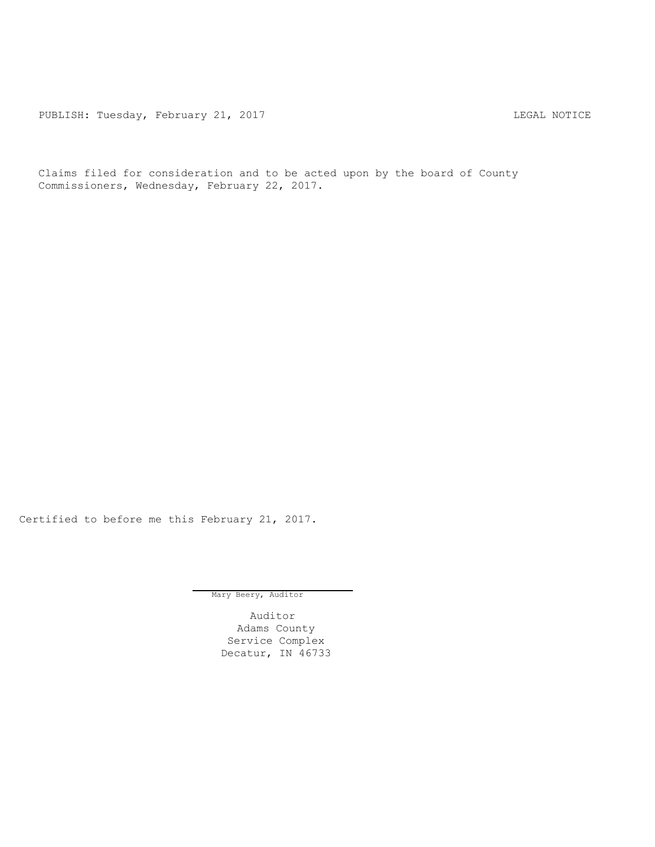PUBLISH: Tuesday, February 21, 2017 CHA CHARL MOTICE

Claims filed for consideration and to be acted upon by the board of County Commissioners, Wednesday, February 22, 2017.

Certified to before me this February 21, 2017.

Mary Beery, Auditor

Auditor Adams County Service Complex Decatur, IN 46733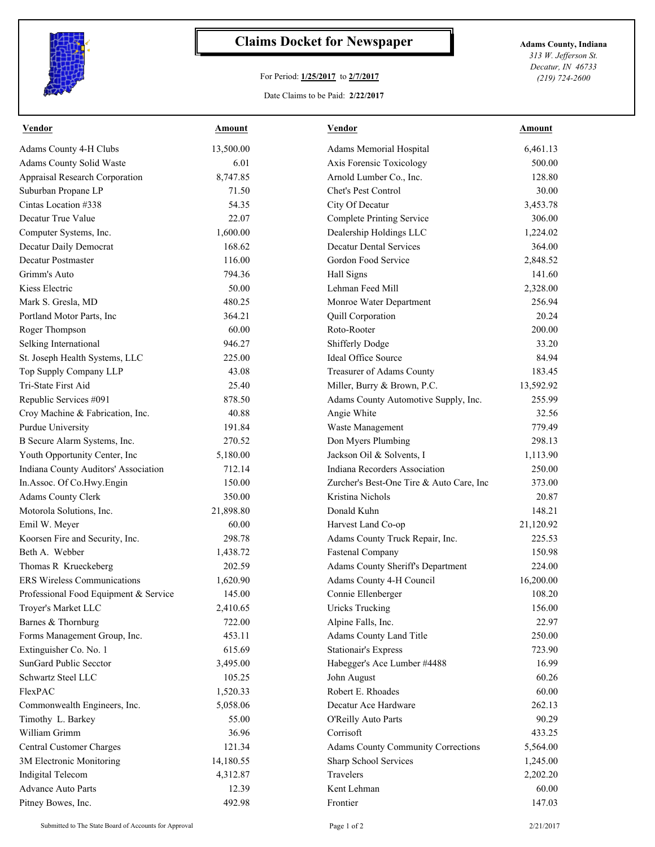

## **Claims Docket for Newspaper Adams County, Indiana**

## For Period: **1/25/2017** to **2/7/2017**

*313 W. Jefferson St. Decatur, IN 46733 (219) 724-2600*

## Date Claims to be Paid: **2/22/2017**

| <b>Vendor</b>                         | <b>Amount</b>     | <b>Vendor</b>                            | <b>Amount</b>   |
|---------------------------------------|-------------------|------------------------------------------|-----------------|
| Adams County 4-H Clubs                | 13,500.00         | Adams Memorial Hospital                  | 6,461.13        |
| Adams County Solid Waste              | 6.01              | Axis Forensic Toxicology                 | 500.00          |
| Appraisal Research Corporation        | 8,747.85          | Arnold Lumber Co., Inc.                  | 128.80          |
| Suburban Propane LP                   | 71.50             | Chet's Pest Control                      | 30.00           |
| Cintas Location #338                  | 54.35             | City Of Decatur                          | 3,453.78        |
| Decatur True Value                    | 22.07             | <b>Complete Printing Service</b>         | 306.00          |
| Computer Systems, Inc.                | 1,600.00          | Dealership Holdings LLC                  | 1,224.02        |
| Decatur Daily Democrat                | 168.62            | <b>Decatur Dental Services</b>           | 364.00          |
| Decatur Postmaster                    | 116.00            | Gordon Food Service                      | 2,848.52        |
| Grimm's Auto                          | 794.36            | Hall Signs                               | 141.60          |
| Kiess Electric                        | 50.00             | Lehman Feed Mill                         | 2,328.00        |
| Mark S. Gresla, MD                    | 480.25            | Monroe Water Department                  | 256.94          |
| Portland Motor Parts, Inc             | 364.21            | Quill Corporation                        | 20.24           |
| Roger Thompson                        | 60.00             | Roto-Rooter                              | 200.00          |
| Selking International                 | 946.27            | Shifferly Dodge                          | 33.20           |
| St. Joseph Health Systems, LLC        | 225.00            | <b>Ideal Office Source</b>               | 84.94           |
| Top Supply Company LLP                | 43.08             | Treasurer of Adams County                | 183.45          |
| Tri-State First Aid                   | 25.40             | Miller, Burry & Brown, P.C.              | 13,592.92       |
| Republic Services #091                | 878.50            | Adams County Automotive Supply, Inc.     | 255.99          |
| Croy Machine & Fabrication, Inc.      | 40.88             | Angie White                              | 32.56           |
| Purdue University                     | 191.84            | Waste Management                         | 779.49          |
| B Secure Alarm Systems, Inc.          | 270.52            | Don Myers Plumbing                       | 298.13          |
| Youth Opportunity Center, Inc         | 5,180.00          | Jackson Oil & Solvents, I                | 1,113.90        |
| Indiana County Auditors' Association  | 712.14            | Indiana Recorders Association            | 250.00          |
| In.Assoc. Of Co.Hwy.Engin             | 150.00            | Zurcher's Best-One Tire & Auto Care, Inc | 373.00          |
| Adams County Clerk                    | 350.00            | Kristina Nichols                         | 20.87           |
| Motorola Solutions, Inc.              | 21,898.80         | Donald Kuhn                              | 148.21          |
| Emil W. Meyer                         | 60.00             | Harvest Land Co-op                       | 21,120.92       |
| Koorsen Fire and Security, Inc.       | 298.78            | Adams County Truck Repair, Inc.          | 225.53          |
| Beth A. Webber                        | 1,438.72          | <b>Fastenal Company</b>                  | 150.98          |
| Thomas R Krueckeberg                  | 202.59            | Adams County Sheriff's Department        | 224.00          |
| <b>ERS Wireless Communications</b>    | 1,620.90          | Adams County 4-H Council                 | 16,200.00       |
| Professional Food Equipment & Service | 145.00            | Connie Ellenberger                       | 108.20          |
| Troyer's Market LLC                   | 2,410.65          | <b>Uricks Trucking</b>                   | 156.00          |
| Barnes & Thornburg                    | 722.00            | Alpine Falls, Inc.                       | 22.97           |
| Forms Management Group, Inc.          | 453.11            | Adams County Land Title                  | 250.00          |
| Extinguisher Co. No. 1                | 615.69            | <b>Stationair's Express</b>              | 723.90          |
| SunGard Public Secctor                | 3,495.00          | Habegger's Ace Lumber #4488              | 16.99           |
| Schwartz Steel LLC                    | 105.25            | John August                              | 60.26           |
| FlexPAC                               | 1,520.33          | Robert E. Rhoades                        | 60.00           |
| Commonwealth Engineers, Inc.          |                   | Decatur Ace Hardware                     |                 |
|                                       | 5,058.06<br>55.00 |                                          | 262.13<br>90.29 |
| Timothy L. Barkey<br>William Grimm    |                   | O'Reilly Auto Parts                      |                 |
|                                       | 36.96             | Corrisoft                                | 433.25          |
| Central Customer Charges              | 121.34            | Adams County Community Corrections       | 5,564.00        |
| 3M Electronic Monitoring              | 14,180.55         | Sharp School Services                    | 1,245.00        |
| Indigital Telecom                     | 4,312.87          | Travelers                                | 2,202.20        |
| <b>Advance Auto Parts</b>             | 12.39             | Kent Lehman                              | 60.00           |
| Pitney Bowes, Inc.                    | 492.98            | Frontier                                 | 147.03          |